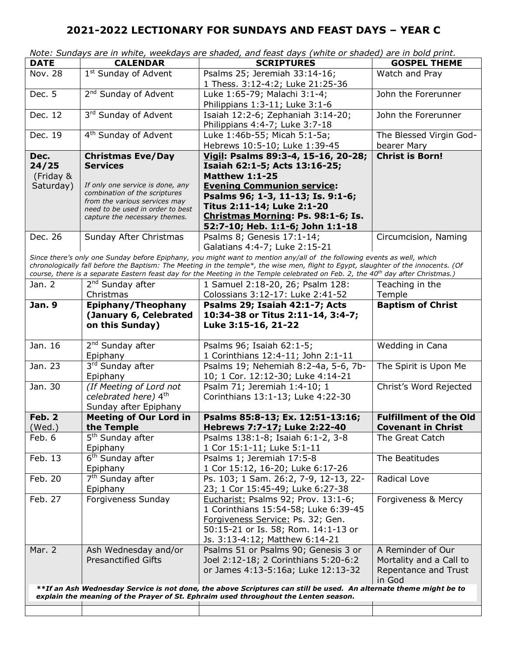|                                                                                                                   |                                                                   | Note: Sundays are in white, weekdays are shaded, and feast days (white or shaded) are in bold print.                                         |                                        |  |
|-------------------------------------------------------------------------------------------------------------------|-------------------------------------------------------------------|----------------------------------------------------------------------------------------------------------------------------------------------|----------------------------------------|--|
| <b>DATE</b>                                                                                                       | <b>CALENDAR</b>                                                   | <b>SCRIPTURES</b>                                                                                                                            | <b>GOSPEL THEME</b>                    |  |
| <b>Nov. 28</b>                                                                                                    | 1 <sup>st</sup> Sunday of Advent                                  | Psalms 25; Jeremiah 33:14-16;<br>1 Thess. 3:12-4:2; Luke 21:25-36                                                                            | Watch and Pray                         |  |
| Dec. 5                                                                                                            | 2 <sup>nd</sup> Sunday of Advent                                  | Luke 1:65-79; Malachi 3:1-4;<br>Philippians 1:3-11; Luke 3:1-6                                                                               | John the Forerunner                    |  |
| Dec. 12                                                                                                           | 3rd Sunday of Advent                                              | Isaiah 12:2-6; Zephaniah 3:14-20;<br>Philippians 4:4-7; Luke 3:7-18                                                                          | John the Forerunner                    |  |
| Dec. 19                                                                                                           | 4 <sup>th</sup> Sunday of Advent                                  | Luke 1:46b-55; Micah 5:1-5a;<br>Hebrews 10:5-10; Luke 1:39-45                                                                                | The Blessed Virgin God-<br>bearer Mary |  |
| Dec.                                                                                                              | <b>Christmas Eve/Day</b>                                          | Vigil: Psalms 89:3-4, 15-16, 20-28;                                                                                                          | <b>Christ is Born!</b>                 |  |
| 24/25                                                                                                             | <b>Services</b>                                                   | Isaiah 62:1-5; Acts 13:16-25;                                                                                                                |                                        |  |
| (Friday &                                                                                                         |                                                                   | <b>Matthew 1:1-25</b>                                                                                                                        |                                        |  |
| Saturday)                                                                                                         | If only one service is done, any                                  | <b>Evening Communion service:</b>                                                                                                            |                                        |  |
|                                                                                                                   | combination of the scriptures                                     | Psalms 96; 1-3, 11-13; Is. 9:1-6;                                                                                                            |                                        |  |
|                                                                                                                   | from the various services may                                     | Titus 2:11-14; Luke 2:1-20                                                                                                                   |                                        |  |
|                                                                                                                   | need to be used in order to best<br>capture the necessary themes. | Christmas Morning: Ps. 98:1-6; Is.                                                                                                           |                                        |  |
|                                                                                                                   |                                                                   | 52:7-10; Heb. 1:1-6; John 1:1-18                                                                                                             |                                        |  |
| Dec. 26                                                                                                           | Sunday After Christmas                                            | Psalms 8; Genesis 17:1-14;                                                                                                                   | Circumcision, Naming                   |  |
|                                                                                                                   |                                                                   | Galatians 4:4-7; Luke 2:15-21                                                                                                                |                                        |  |
|                                                                                                                   |                                                                   | Since there's only one Sunday before Epiphany, you might want to mention any/all of the following events as well, which                      |                                        |  |
|                                                                                                                   |                                                                   | chronologically fall before the Baptism: The Meeting in the temple*, the wise men, flight to Egypt, slaughter of the innocents. (Of          |                                        |  |
|                                                                                                                   |                                                                   | course, there is a separate Eastern feast day for the Meeting in the Temple celebrated on Feb. 2, the 40 <sup>th</sup> day after Christmas.) |                                        |  |
| Jan. 2                                                                                                            | 2 <sup>nd</sup> Sunday after                                      | 1 Samuel 2:18-20, 26; Psalm 128:                                                                                                             | Teaching in the                        |  |
|                                                                                                                   | Christmas                                                         | Colossians 3:12-17: Luke 2:41-52                                                                                                             | Temple                                 |  |
| <b>Jan. 9</b>                                                                                                     | Epiphany/Theophany                                                | Psalms 29; Isaiah 42:1-7; Acts                                                                                                               | <b>Baptism of Christ</b>               |  |
|                                                                                                                   | (January 6, Celebrated                                            | 10:34-38 or Titus 2:11-14, 3:4-7;                                                                                                            |                                        |  |
|                                                                                                                   | on this Sunday)                                                   | Luke 3:15-16, 21-22                                                                                                                          |                                        |  |
| Jan. 16                                                                                                           | 2 <sup>nd</sup> Sunday after                                      | Psalms 96; Isaiah 62:1-5;                                                                                                                    | Wedding in Cana                        |  |
|                                                                                                                   | Epiphany                                                          | 1 Corinthians 12:4-11; John 2:1-11                                                                                                           |                                        |  |
| Jan. $2\overline{3}$                                                                                              | 3rd Sunday after                                                  | Psalms 19; Nehemiah 8:2-4a, 5-6, 7b-                                                                                                         | The Spirit is Upon Me                  |  |
|                                                                                                                   | Epiphany                                                          | 10; 1 Cor. 12:12-30; Luke 4:14-21                                                                                                            |                                        |  |
| Jan. 30                                                                                                           | (If Meeting of Lord not                                           | Psalm 71; Jeremiah 1:4-10; 1                                                                                                                 | Christ's Word Rejected                 |  |
|                                                                                                                   | celebrated here) 4th                                              | Corinthians 13:1-13; Luke 4:22-30                                                                                                            |                                        |  |
|                                                                                                                   | Sunday after Epiphany                                             |                                                                                                                                              |                                        |  |
| Feb. 2                                                                                                            | <b>Meeting of Our Lord in</b>                                     | Psalms 85:8-13; Ex. 12:51-13:16;                                                                                                             | <b>Fulfillment of the Old</b>          |  |
| (Wed.)                                                                                                            | the Temple                                                        | Hebrews 7:7-17; Luke 2:22-40                                                                                                                 | <b>Covenant in Christ</b>              |  |
| Feb. 6                                                                                                            | 5 <sup>th</sup> Sunday after                                      | Psalms 138:1-8; Isaiah 6:1-2, 3-8                                                                                                            | The Great Catch                        |  |
|                                                                                                                   | Epiphany                                                          | 1 Cor 15:1-11; Luke 5:1-11                                                                                                                   |                                        |  |
| Feb. 13                                                                                                           | 6 <sup>th</sup> Sunday after                                      | Psalms 1; Jeremiah 17:5-8                                                                                                                    | The Beatitudes                         |  |
|                                                                                                                   | Epiphany                                                          | 1 Cor 15:12, 16-20; Luke 6:17-26                                                                                                             |                                        |  |
| Feb. 20                                                                                                           | 7 <sup>th</sup> Sunday after                                      | Ps. 103; 1 Sam. 26:2, 7-9, 12-13, 22-                                                                                                        | Radical Love                           |  |
|                                                                                                                   | Epiphany                                                          | 23; 1 Cor 15:45-49; Luke 6:27-38                                                                                                             |                                        |  |
| Feb. 27                                                                                                           | Forgiveness Sunday                                                | Eucharist: Psalms 92; Prov. 13:1-6;                                                                                                          | Forgiveness & Mercy                    |  |
|                                                                                                                   |                                                                   | 1 Corinthians 15:54-58; Luke 6:39-45                                                                                                         |                                        |  |
|                                                                                                                   |                                                                   | Forgiveness Service: Ps. 32; Gen.                                                                                                            |                                        |  |
|                                                                                                                   |                                                                   | 50:15-21 or Is. 58; Rom. 14:1-13 or                                                                                                          |                                        |  |
|                                                                                                                   |                                                                   | Js. 3:13-4:12; Matthew 6:14-21                                                                                                               |                                        |  |
| Mar. 2                                                                                                            | Ash Wednesday and/or                                              | Psalms 51 or Psalms 90; Genesis 3 or                                                                                                         | A Reminder of Our                      |  |
|                                                                                                                   | <b>Presanctified Gifts</b>                                        | Joel 2:12-18; 2 Corinthians 5:20-6:2                                                                                                         | Mortality and a Call to                |  |
|                                                                                                                   |                                                                   | or James 4:13-5:16a; Luke 12:13-32                                                                                                           | Repentance and Trust                   |  |
|                                                                                                                   |                                                                   |                                                                                                                                              | in God                                 |  |
| **If an Ash Wednesday Service is not done, the above Scriptures can still be used. An alternate theme might be to |                                                                   |                                                                                                                                              |                                        |  |
| explain the meaning of the Prayer of St. Ephraim used throughout the Lenten season.                               |                                                                   |                                                                                                                                              |                                        |  |
|                                                                                                                   |                                                                   |                                                                                                                                              |                                        |  |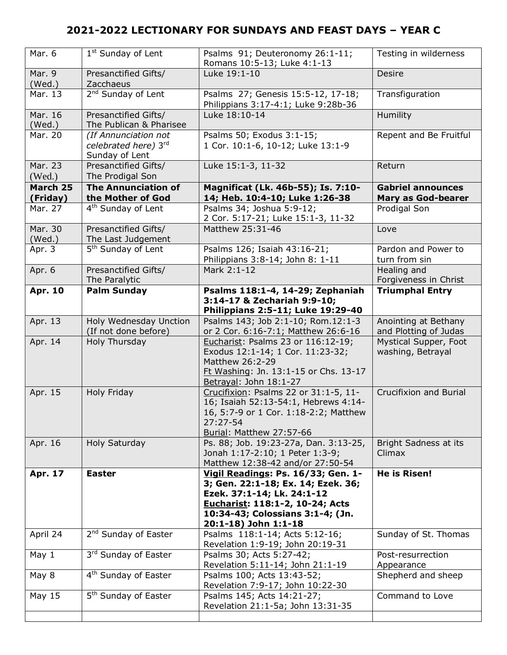| Mar. 6               | 1 <sup>st</sup> Sunday of Lent                                 | Psalms 91; Deuteronomy 26:1-11;<br>Romans 10:5-13; Luke 4:1-13                                                                                                                | Testing in wilderness                                 |
|----------------------|----------------------------------------------------------------|-------------------------------------------------------------------------------------------------------------------------------------------------------------------------------|-------------------------------------------------------|
| Mar. 9<br>(Wed.)     | Presanctified Gifts/<br>Zacchaeus                              | Luke 19:1-10                                                                                                                                                                  | Desire                                                |
| Mar. 13              | 2 <sup>nd</sup> Sunday of Lent                                 | Psalms 27; Genesis 15:5-12, 17-18;<br>Philippians 3:17-4:1; Luke 9:28b-36                                                                                                     | Transfiguration                                       |
| Mar. 16<br>(Wed.)    | Presanctified Gifts/<br>The Publican & Pharisee                | Luke 18:10-14                                                                                                                                                                 | Humility                                              |
| Mar. 20              | (If Annunciation not<br>celebrated here) 3rd<br>Sunday of Lent | Psalms 50; Exodus 3:1-15;<br>1 Cor. 10:1-6, 10-12; Luke 13:1-9                                                                                                                | Repent and Be Fruitful                                |
| Mar. 23<br>(Wed.)    | Presanctified Gifts/<br>The Prodigal Son                       | Luke 15:1-3, 11-32                                                                                                                                                            | Return                                                |
| March 25<br>(Friday) | <b>The Annunciation of</b><br>the Mother of God                | Magnificat (Lk. 46b-55); Is. 7:10-<br>14; Heb. 10:4-10; Luke 1:26-38                                                                                                          | <b>Gabriel announces</b><br><b>Mary as God-bearer</b> |
| Mar. 27              | 4 <sup>th</sup> Sunday of Lent                                 | Psalms 34; Joshua 5:9-12;<br>2 Cor. 5:17-21; Luke 15:1-3, 11-32                                                                                                               | Prodigal Son                                          |
| Mar. 30<br>(Wed.)    | Presanctified Gifts/<br>The Last Judgement                     | Matthew 25:31-46                                                                                                                                                              | Love                                                  |
| Apr. 3               | 5 <sup>th</sup> Sunday of Lent                                 | Psalms 126; Isaiah 43:16-21;<br>Philippians 3:8-14; John 8: 1-11                                                                                                              | Pardon and Power to<br>turn from sin                  |
| Apr. 6               | Presanctified Gifts/<br>The Paralytic                          | Mark 2:1-12                                                                                                                                                                   | Healing and<br>Forgiveness in Christ                  |
| <b>Apr. 10</b>       | <b>Palm Sunday</b>                                             | Psalms 118:1-4, 14-29; Zephaniah<br>3:14-17 & Zechariah 9:9-10;<br>Philippians 2:5-11; Luke 19:29-40                                                                          | <b>Triumphal Entry</b>                                |
| Apr. 13              | Holy Wednesday Unction<br>(If not done before)                 | Psalms 143; Job 2:1-10; Rom.12:1-3<br>or 2 Cor. 6:16-7:1; Matthew 26:6-16                                                                                                     | Anointing at Bethany<br>and Plotting of Judas         |
| Apr. 14              | Holy Thursday                                                  | Eucharist: Psalms 23 or 116:12-19;                                                                                                                                            | Mystical Supper, Foot                                 |
|                      |                                                                | Exodus 12:1-14; 1 Cor. 11:23-32;<br>Matthew 26:2-29<br>Ft Washing: Jn. 13:1-15 or Chs. 13-17<br>Betrayal: John 18:1-27                                                        | washing, Betrayal                                     |
| Apr. 15              | <b>Holy Friday</b>                                             | Crucifixion: Psalms 22 or 31:1-5, 11-<br>16; Isaiah 52:13-54:1, Hebrews 4:14-<br>16, 5:7-9 or 1 Cor. 1:18-2:2; Matthew<br>27:27-54<br>Burial: Matthew 27:57-66                | Crucifixion and Burial                                |
| Apr. 16              | Holy Saturday                                                  | Ps. 88; Job. 19:23-27a, Dan. 3:13-25,<br>Jonah 1:17-2:10; 1 Peter 1:3-9;<br>Matthew 12:38-42 and/or 27:50-54                                                                  | Bright Sadness at its<br>Climax                       |
| <b>Apr. 17</b>       | <b>Easter</b>                                                  | Vigil Readings: Ps. 16/33; Gen. 1-<br>3; Gen. 22:1-18; Ex. 14; Ezek. 36;<br>Ezek. 37:1-14; Lk. 24:1-12<br>Eucharist: 118:1-2, 10-24; Acts<br>10:34-43; Colossians 3:1-4; (Jn. | <b>He is Risen!</b>                                   |
| April 24             | 2 <sup>nd</sup> Sunday of Easter                               | 20:1-18) John 1:1-18<br>Psalms 118:1-14; Acts 5:12-16;<br>Revelation 1:9-19; John 20:19-31                                                                                    | Sunday of St. Thomas                                  |
| May 1                | 3rd Sunday of Easter                                           | Psalms 30; Acts 5:27-42;<br>Revelation 5:11-14; John 21:1-19                                                                                                                  | Post-resurrection<br>Appearance                       |
| May 8                | 4 <sup>th</sup> Sunday of Easter                               | Psalms 100; Acts 13:43-52;<br>Revelation 7:9-17; John 10:22-30                                                                                                                | Shepherd and sheep                                    |
| May 15               | 5 <sup>th</sup> Sunday of Easter                               | Psalms 145; Acts 14:21-27;<br>Revelation 21:1-5a; John 13:31-35                                                                                                               | Command to Love                                       |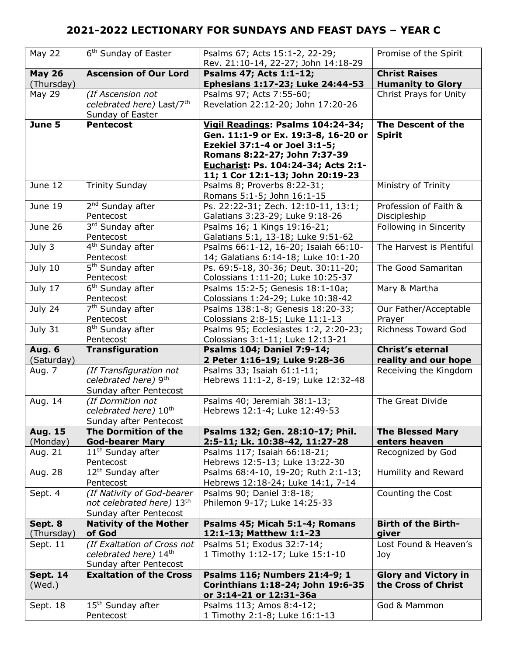| <b>May 22</b>               | 6 <sup>th</sup> Sunday of Easter                | Psalms 67; Acts 15:1-2, 22-29;<br>Rev. 21:10-14, 22-27; John 14:18-29    | Promise of the Spirit                              |
|-----------------------------|-------------------------------------------------|--------------------------------------------------------------------------|----------------------------------------------------|
| <b>May 26</b><br>(Thursday) | <b>Ascension of Our Lord</b>                    | Psalms 47; Acts 1:1-12;<br>Ephesians 1:17-23; Luke 24:44-53              | <b>Christ Raises</b><br><b>Humanity to Glory</b>   |
| May 29                      | (If Ascension not                               | Psalms 97; Acts 7:55-60;                                                 | Christ Prays for Unity                             |
|                             | celebrated here) Last/7th                       | Revelation 22:12-20; John 17:20-26                                       |                                                    |
|                             |                                                 |                                                                          |                                                    |
|                             | Sunday of Easter                                |                                                                          |                                                    |
| June 5                      | <b>Pentecost</b>                                | Vigil Readings: Psalms 104:24-34;<br>Gen. 11:1-9 or Ex. 19:3-8, 16-20 or | The Descent of the<br><b>Spirit</b>                |
|                             |                                                 | Ezekiel 37:1-4 or Joel 3:1-5;                                            |                                                    |
|                             |                                                 |                                                                          |                                                    |
|                             |                                                 | Romans 8:22-27; John 7:37-39                                             |                                                    |
|                             |                                                 | Eucharist: Ps. 104:24-34; Acts 2:1-                                      |                                                    |
|                             |                                                 | 11; 1 Cor 12:1-13; John 20:19-23                                         |                                                    |
| June 12                     | <b>Trinity Sunday</b>                           | Psalms 8; Proverbs 8:22-31;                                              | Ministry of Trinity                                |
|                             |                                                 | Romans 5:1-5; John 16:1-15                                               |                                                    |
| June 19                     | 2 <sup>nd</sup> Sunday after                    | Ps. 22:22-31; Zech. 12:10-11, 13:1;                                      | Profession of Faith &                              |
|                             | Pentecost                                       | Galatians 3:23-29; Luke 9:18-26                                          | Discipleship                                       |
| June 26                     | 3rd Sunday after                                | Psalms 16; 1 Kings 19:16-21;                                             | Following in Sincerity                             |
|                             | Pentecost                                       | Galatians 5:1, 13-18; Luke 9:51-62                                       |                                                    |
| July 3                      | 4 <sup>th</sup> Sunday after                    | Psalms 66:1-12, 16-20; Isaiah 66:10-                                     | The Harvest is Plentiful                           |
|                             | Pentecost                                       | 14; Galatians 6:14-18; Luke 10:1-20                                      |                                                    |
| July 10                     | 5 <sup>th</sup> Sunday after                    | Ps. 69:5-18, 30-36; Deut. 30:11-20;                                      | The Good Samaritan                                 |
|                             | Pentecost                                       | Colossians 1:11-20; Luke 10:25-37                                        |                                                    |
| July 17                     | 6 <sup>th</sup> Sunday after                    | Psalms 15:2-5; Genesis 18:1-10a;                                         | Mary & Martha                                      |
|                             | Pentecost                                       | Colossians 1:24-29; Luke 10:38-42                                        |                                                    |
| July 24                     | 7 <sup>th</sup> Sunday after                    | Psalms 138:1-8; Genesis 18:20-33;                                        | Our Father/Acceptable                              |
|                             | Pentecost                                       | Colossians 2:8-15; Luke 11:1-13                                          | Prayer                                             |
|                             |                                                 |                                                                          |                                                    |
| July 31                     | 8 <sup>th</sup> Sunday after                    | Psalms 95; Ecclesiastes 1:2, 2:20-23;                                    | <b>Richness Toward God</b>                         |
|                             | Pentecost                                       | Colossians 3:1-11; Luke 12:13-21                                         |                                                    |
| <b>Aug. 6</b>               | <b>Transfiguration</b>                          | <b>Psalms 104; Daniel 7:9-14;</b>                                        | <b>Christ's eternal</b>                            |
| (Saturday)                  |                                                 | 2 Peter 1:16-19; Luke 9:28-36                                            | reality and our hope                               |
| Aug. 7                      | (If Transfiguration not                         | Psalms 33; Isaiah 61:1-11;                                               | Receiving the Kingdom                              |
|                             | celebrated here) 9th                            | Hebrews 11:1-2, 8-19; Luke 12:32-48                                      |                                                    |
|                             | Sunday after Pentecost                          |                                                                          |                                                    |
| Aug. 14                     | (If Dormition not                               | Psalms 40; Jeremiah 38:1-13;                                             | The Great Divide                                   |
|                             | celebrated here) 10 <sup>th</sup>               | Hebrews 12:1-4; Luke 12:49-53                                            |                                                    |
|                             | Sunday after Pentecost                          |                                                                          |                                                    |
| <b>Aug. 15</b>              | The Dormition of the                            | Psalms 132; Gen. 28:10-17; Phil.                                         | <b>The Blessed Mary</b>                            |
| (Monday)                    | <b>God-bearer Mary</b>                          | 2:5-11; Lk. 10:38-42, 11:27-28                                           | enters heaven                                      |
| Aug. 21                     |                                                 |                                                                          | Recognized by God                                  |
|                             | 11 <sup>th</sup> Sunday after<br>Pentecost      | Psalms 117; Isaiah 66:18-21;<br>Hebrews 12:5-13; Luke 13:22-30           |                                                    |
|                             |                                                 |                                                                          |                                                    |
| Aug. 28                     | 12 <sup>th</sup> Sunday after                   | Psalms 68:4-10, 19-20; Ruth 2:1-13;                                      | Humility and Reward                                |
|                             | Pentecost                                       | Hebrews 12:18-24; Luke 14:1, 7-14                                        |                                                    |
| Sept. 4                     | (If Nativity of God-bearer                      | Psalms 90; Daniel 3:8-18;                                                | Counting the Cost                                  |
|                             | not celebrated here) 13th                       | Philemon 9-17; Luke 14:25-33                                             |                                                    |
|                             | Sunday after Pentecost                          |                                                                          |                                                    |
| Sept. 8                     | <b>Nativity of the Mother</b><br>of God         | Psalms 45; Micah 5:1-4; Romans<br>12:1-13; Matthew 1:1-23                | <b>Birth of the Birth-</b><br>giver                |
| (Thursday)                  |                                                 | Psalms 51; Exodus 32:7-14;                                               | Lost Found & Heaven's                              |
| Sept. 11                    | (If Exaltation of Cross not                     |                                                                          |                                                    |
|                             | celebrated here) 14th<br>Sunday after Pentecost | 1 Timothy 1:12-17; Luke 15:1-10                                          | Joy                                                |
|                             | <b>Exaltation of the Cross</b>                  |                                                                          |                                                    |
| <b>Sept. 14</b>             |                                                 | Psalms 116; Numbers 21:4-9; 1                                            | <b>Glory and Victory in</b><br>the Cross of Christ |
| (Wed.)                      |                                                 | Corinthians 1:18-24; John 19:6-35<br>or 3:14-21 or 12:31-36a             |                                                    |
| Sept. 18                    | 15 <sup>th</sup> Sunday after                   | Psalms 113; Amos 8:4-12;                                                 | God & Mammon                                       |